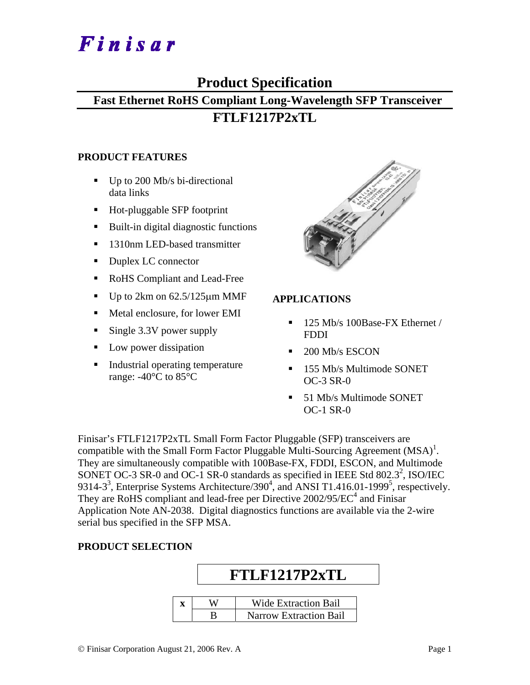# Finisar

## **Product Specification**

### **Fast Ethernet RoHS Compliant Long-Wavelength SFP Transceiver FTLF1217P2xTL**

#### **PRODUCT FEATURES**

- $\blacksquare$  Up to 200 Mb/s bi-directional data links
- Hot-pluggable SFP footprint
- Built-in digital diagnostic functions
- 1310nm LED-based transmitter
- Duplex LC connector
- RoHS Compliant and Lead-Free
- Up to  $2km$  on  $62.5/125\mu m$  MMF
- Metal enclosure, for lower EMI
- Single 3.3V power supply
- Low power dissipation
- Industrial operating temperature range: -40°C to 85°C



#### **APPLICATIONS**

- 125 Mb/s 100Base-FX Ethernet / FDDI
- 200 Mb/s ESCON
- 155 Mb/s Multimode SONET OC-3 SR-0
- 51 Mb/s Multimode SONET OC-1 SR-0

Finisar's FTLF1217P2xTL Small Form Factor Pluggable (SFP) transceivers are compatible with the Small Form Factor Pluggable Multi-Sourcing Agreement  $(MSA)^{1}$ . They are simultaneously compatible with 100Base-FX, FDDI, ESCON, and Multimode SONET OC-3 SR-0 and OC-1 SR-0 standards as specified in IEEE Std 802.3<sup>2</sup>, ISO/IEC 9314-3<sup>3</sup>, Enterprise Systems Architecture/390<sup>4</sup>, and ANSI T1.416.01-1999<sup>5</sup>, respectively. They are RoHS compliant and lead-free per Directive  $2002/95/EC^4$  and Finisar Application Note AN-2038. Digital diagnostics functions are available via the 2-wire serial bus specified in the SFP MSA.

#### **PRODUCT SELECTION**

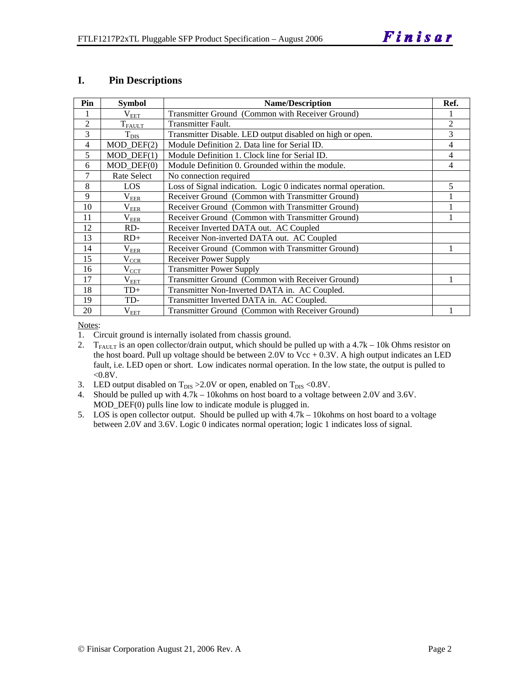#### **I. Pin Descriptions**

| Pin            | <b>Symbol</b>    | <b>Name/Description</b>                                        | Ref.           |
|----------------|------------------|----------------------------------------------------------------|----------------|
|                | $\rm V_{EET}$    | Transmitter Ground (Common with Receiver Ground)               |                |
| $\overline{2}$ | $T_{FALLT}$      | <b>Transmitter Fault.</b>                                      | $\overline{2}$ |
| 3              | $T_{\rm DIS}$    | Transmitter Disable. LED output disabled on high or open.      | 3              |
| $\overline{4}$ | $MOD_$ DEF(2)    | Module Definition 2. Data line for Serial ID.                  | 4              |
| 5              | $MOD_$ DEF(1)    | Module Definition 1. Clock line for Serial ID.                 | 4              |
| 6              | $MOD_$ DEF $(0)$ | Module Definition 0. Grounded within the module.               | 4              |
| 7              | Rate Select      | No connection required                                         |                |
| 8              | LOS              | Loss of Signal indication. Logic 0 indicates normal operation. | 5              |
| 9              | $\rm V_{EER}$    | Receiver Ground (Common with Transmitter Ground)               |                |
| 10             | $\rm V_{EER}$    | Receiver Ground (Common with Transmitter Ground)               |                |
| 11             | $\rm V_{EER}$    | Receiver Ground (Common with Transmitter Ground)               |                |
| 12             | RD-              | Receiver Inverted DATA out. AC Coupled                         |                |
| 13             | $RD+$            | Receiver Non-inverted DATA out. AC Coupled                     |                |
| 14             | $\rm V_{EER}$    | Receiver Ground (Common with Transmitter Ground)               |                |
| 15             | $\rm V_{CCR}$    | Receiver Power Supply                                          |                |
| 16             | $V_{\text{CCT}}$ | <b>Transmitter Power Supply</b>                                |                |
| 17             | $\rm V_{EET}$    | Transmitter Ground (Common with Receiver Ground)               |                |
| 18             | $TD+$            | Transmitter Non-Inverted DATA in. AC Coupled.                  |                |
| 19             | TD-              | Transmitter Inverted DATA in. AC Coupled.                      |                |
| 20             | $\rm V_{EET}$    | Transmitter Ground (Common with Receiver Ground)               |                |

Notes:

1. Circuit ground is internally isolated from chassis ground.

2. T<sub>FAULT</sub> is an open collector/drain output, which should be pulled up with a  $4.7k - 10k$  Ohms resistor on the host board. Pull up voltage should be between 2.0V to Vcc  $+$  0.3V. A high output indicates an LED fault, i.e. LED open or short. Low indicates normal operation. In the low state, the output is pulled to  $< 0.8V$ .

- 3. LED output disabled on  $T_{DIS} > 2.0V$  or open, enabled on  $T_{DIS} < 0.8V$ .
- 4. Should be pulled up with 4.7k 10kohms on host board to a voltage between 2.0V and 3.6V. MOD\_DEF(0) pulls line low to indicate module is plugged in.
- 5. LOS is open collector output. Should be pulled up with 4.7k 10kohms on host board to a voltage between 2.0V and 3.6V. Logic 0 indicates normal operation; logic 1 indicates loss of signal.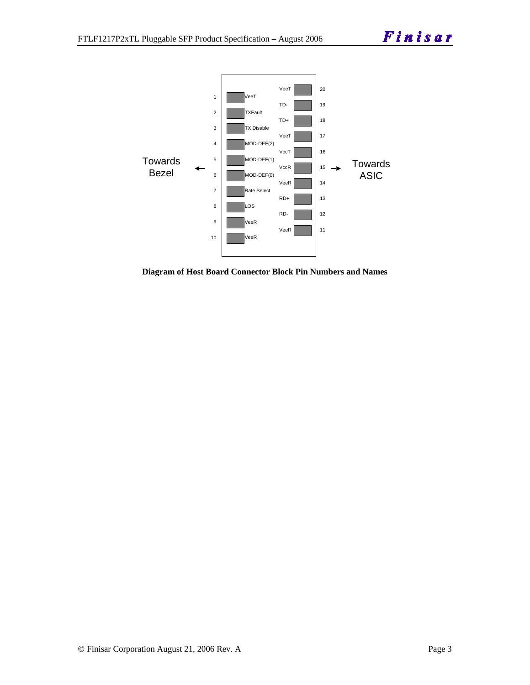

**Diagram of Host Board Connector Block Pin Numbers and Names**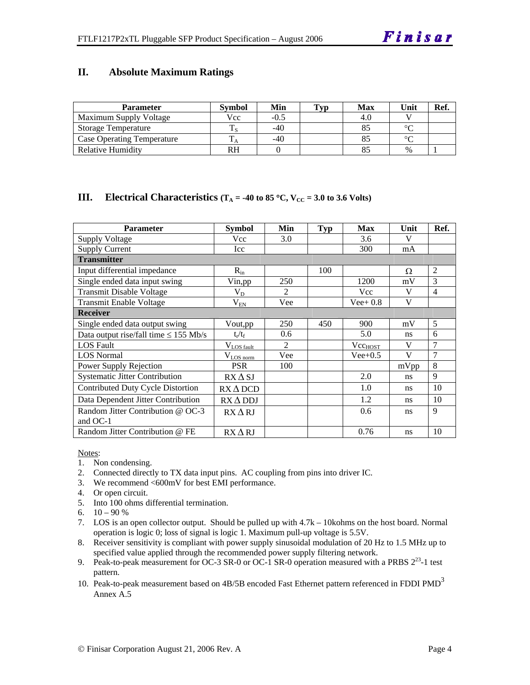#### **II. Absolute Maximum Ratings**

| <b>Parameter</b>                  | <b>Symbol</b> | Min   | Typ | <b>Max</b> | Unit   | Ref. |
|-----------------------------------|---------------|-------|-----|------------|--------|------|
| Maximum Supply Voltage            | Vcc           | -0.5  |     | 4.U        |        |      |
| <b>Storage Temperature</b>        |               | $-40$ |     |            | $\sim$ |      |
| <b>Case Operating Temperature</b> |               | $-40$ |     |            | $\sim$ |      |
| Relative Humidity                 | RH            |       |     |            | $\%$   |      |

#### **III. Electrical Characteristics** ( $T_A = -40$  to 85 °C,  $V_{CC} = 3.0$  to 3.6 Volts)

| <b>Parameter</b>                           | <b>Symbol</b>         | Min            | Typ | Max          | Unit | Ref.           |
|--------------------------------------------|-----------------------|----------------|-----|--------------|------|----------------|
| <b>Supply Voltage</b>                      | Vcc                   | 3.0            |     | 3.6          | V    |                |
| <b>Supply Current</b>                      | Icc                   |                |     | 300          | mA   |                |
| <b>Transmitter</b>                         |                       |                |     |              |      |                |
| Input differential impedance               | $R_{in}$              |                | 100 |              | Ω    | $\mathfrak{D}$ |
| Single ended data input swing              | Vin,pp                | 250            |     | 1200         | mV   | 3              |
| <b>Transmit Disable Voltage</b>            | $V_D$                 | $\mathfrak{D}$ |     | Vcc          | V    | $\overline{4}$ |
| <b>Transmit Enable Voltage</b>             | $V_{EN}$              | Vee            |     | $Vee+0.8$    | V    |                |
| <b>Receiver</b>                            |                       |                |     |              |      |                |
| Single ended data output swing             | Vout,pp               | 250            | 450 | 900          | mV   | 5              |
| Data output rise/fall time $\leq$ 155 Mb/s | $t_{\rm r}/t_{\rm f}$ | 0.6            |     | 5.0          | ns   | 6              |
| <b>LOS</b> Fault                           | $V_{LOS$ fault        | 2              |     | $Vec_{HOST}$ | V    | $\overline{7}$ |
| <b>LOS</b> Normal                          | $V_{LOS\,norm}$       | Vee            |     | $Vee+0.5$    | V    | $\overline{7}$ |
| Power Supply Rejection                     | <b>PSR</b>            | 100            |     |              | mVpp | 8              |
| <b>Systematic Jitter Contribution</b>      | $RX \Delta SI$        |                |     | 2.0          | ns   | 9              |
| Contributed Duty Cycle Distortion          | $RX\Delta DCD$        |                |     | 1.0          | ns   | 10             |
| Data Dependent Jitter Contribution         | $RX \Delta DDI$       |                |     | 1.2          | ns   | 10             |
| Random Jitter Contribution @ OC-3          | $RX\Delta RJ$         |                |     | 0.6          | ns   | 9              |
| and OC-1                                   |                       |                |     |              |      |                |
| Random Jitter Contribution @ FE            | $RX\Delta RJ$         |                |     | 0.76         | ns   | 10             |

Notes:

- 1. Non condensing.
- 2. Connected directly to TX data input pins. AC coupling from pins into driver IC.
- 3. We recommend <600mV for best EMI performance.
- 4. Or open circuit.
- 5. Into 100 ohms differential termination.
- 6.  $10 90 %$
- 7. LOS is an open collector output. Should be pulled up with 4.7k 10kohms on the host board. Normal operation is logic 0; loss of signal is logic 1. Maximum pull-up voltage is 5.5V.
- 8. Receiver sensitivity is compliant with power supply sinusoidal modulation of 20 Hz to 1.5 MHz up to specified value applied through the recommended power supply filtering network.
- 9. Peak-to-peak measurement for OC-3 SR-0 or OC-1 SR-0 operation measured with a PRBS  $2^{23}$ -1 test pattern.
- 10. Peak-to-peak measurement based on 4B/5B encoded Fast Ethernet pattern referenced in FDDI PMD<sup>3</sup> Annex A.5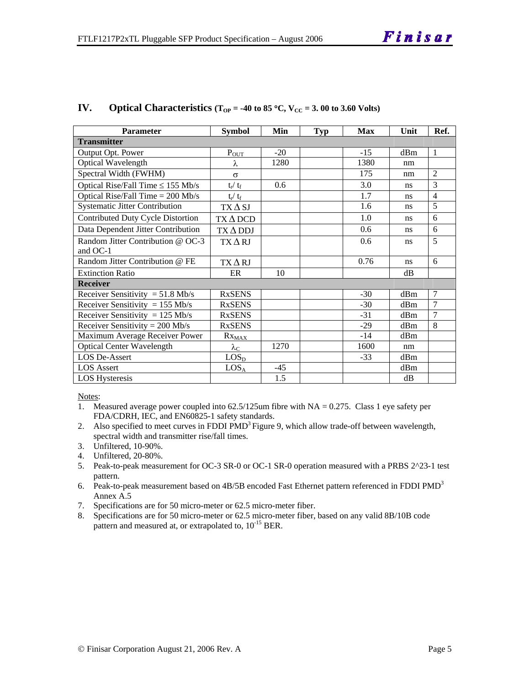| <b>Parameter</b>                              | <b>Symbol</b>            | Min   | <b>Typ</b> | <b>Max</b> | Unit | Ref.           |  |  |
|-----------------------------------------------|--------------------------|-------|------------|------------|------|----------------|--|--|
| <b>Transmitter</b>                            |                          |       |            |            |      |                |  |  |
| Output Opt. Power                             | $P_{\hbox{\small{OUT}}}$ | $-20$ |            | $-15$      | dBm  | $\mathbf{1}$   |  |  |
| Optical Wavelength                            | λ                        | 1280  |            | 1380       | nm   |                |  |  |
| Spectral Width (FWHM)                         | $\sigma$                 |       |            | 175        | nm   | $\overline{2}$ |  |  |
| Optical Rise/Fall Time $\leq$ 155 Mb/s        | $t_r / t_f$              | 0.6   |            | 3.0        | ns   | 3              |  |  |
| Optical Rise/Fall Time $= 200$ Mb/s           | $t_{\rm r} / t_{\rm f}$  |       |            | 1.7        | ns   | 4              |  |  |
| <b>Systematic Jitter Contribution</b>         | $TX\Delta SI$            |       |            | 1.6        | ns   | 5              |  |  |
| Contributed Duty Cycle Distortion             | $TX \Delta DCD$          |       |            | 1.0        | ns   | 6              |  |  |
| Data Dependent Jitter Contribution            | $TX\Delta DDJ$           |       |            | 0.6        | ns   | 6              |  |  |
| Random Jitter Contribution @ OC-3<br>and OC-1 | $TX\Delta RI$            |       |            | 0.6        | ns   | 5              |  |  |
| Random Jitter Contribution @ FE               | $TX\Delta RI$            |       |            | 0.76       | ns   | 6              |  |  |
| <b>Extinction Ratio</b>                       | ER                       | 10    |            |            | dВ   |                |  |  |
| <b>Receiver</b>                               |                          |       |            |            |      |                |  |  |
| Receiver Sensitivity = $51.8$ Mb/s            | <b>RxSENS</b>            |       |            | $-30$      | dBm  | 7              |  |  |
| Receiver Sensitivity = $155$ Mb/s             | <b>RxSENS</b>            |       |            | $-30$      | dBm  | $\overline{7}$ |  |  |
| Receiver Sensitivity = $125$ Mb/s             | <b>RxSENS</b>            |       |            | $-31$      | dBm  | $\overline{7}$ |  |  |
| Receiver Sensitivity = $200$ Mb/s             | <b>RxSENS</b>            |       |            | $-29$      | dBm  | 8              |  |  |
| Maximum Average Receiver Power                | $Rx_{MAX}$               |       |            | $-14$      | dBm  |                |  |  |
| <b>Optical Center Wavelength</b>              | $\lambda_{\rm C}$        | 1270  |            | 1600       | nm   |                |  |  |
| <b>LOS De-Assert</b>                          | LOS <sub>D</sub>         |       |            | $-33$      | dBm  |                |  |  |
| <b>LOS</b> Assert                             | LOS <sub>A</sub>         | $-45$ |            |            | dBm  |                |  |  |
| <b>LOS Hysteresis</b>                         |                          | 1.5   |            |            | dB   |                |  |  |

#### **IV.** Optical Characteristics ( $T_{OP} = -40$  to 85 °C,  $V_{CC} = 3.00$  to 3.60 Volts)

Notes:

1. Measured average power coupled into 62.5/125um fibre with NA = 0.275. Class 1 eye safety per FDA/CDRH, IEC, and EN60825-1 safety standards.

- 2. Also specified to meet curves in FDDI PMD<sup>3</sup> Figure 9, which allow trade-off between wavelength, spectral width and transmitter rise/fall times.
- 3. Unfiltered, 10-90%.
- 4. Unfiltered, 20-80%.
- 5. Peak-to-peak measurement for OC-3 SR-0 or OC-1 SR-0 operation measured with a PRBS 2^23-1 test pattern.
- 6. Peak-to-peak measurement based on 4B/5B encoded Fast Ethernet pattern referenced in FDDI PMD<sup>3</sup> Annex A.5
- 7. Specifications are for 50 micro-meter or 62.5 micro-meter fiber.
- 8. Specifications are for 50 micro-meter or 62.5 micro-meter fiber, based on any valid 8B/10B code pattern and measured at, or extrapolated to,  $10^{-15}$  BER.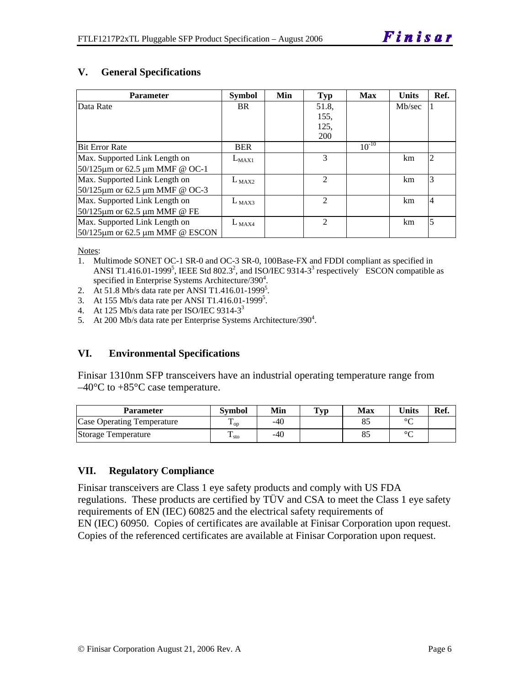#### **V. General Specifications**

| <b>Parameter</b>                           | <b>Symbol</b> | Min | Typ                         | Max        | <b>Units</b> | Ref.           |
|--------------------------------------------|---------------|-----|-----------------------------|------------|--------------|----------------|
| Data Rate                                  | <b>BR</b>     |     | 51.8,                       |            | Mb/sec       |                |
|                                            |               |     | 155,                        |            |              |                |
|                                            |               |     | 125,                        |            |              |                |
|                                            |               |     | <b>200</b>                  |            |              |                |
| <b>Bit Error Rate</b>                      | <b>BER</b>    |     |                             | $10^{-10}$ |              |                |
| Max. Supported Link Length on              | $L_{MAX1}$    |     | $\mathcal{F}$               |            | km           | $\overline{2}$ |
| 50/125μm or 62.5 μm ΜΜF @ OC-1             |               |     |                             |            |              |                |
| Max. Supported Link Length on              | $L_{MAX2}$    |     | $\mathfrak{D}$              |            | km           | 3              |
| 50/125μm or 62.5 μm ΜΜF @ OC-3             |               |     |                             |            |              |                |
| Max. Supported Link Length on              | $L_{MAX3}$    |     | $\mathfrak{D}$              |            | km           | $\overline{4}$ |
| 50/125μm or 62.5 μm ΜΜF @ FE               |               |     |                             |            |              |                |
| Max. Supported Link Length on              | $L_{MAX4}$    |     | $\mathcal{D}_{\mathcal{L}}$ |            | km           | 5              |
| $50/125 \mu m$ or 62.5 $\mu$ m MMF @ ESCON |               |     |                             |            |              |                |

Notes:

- 1. Multimode SONET OC-1 SR-0 and OC-3 SR-0, 100Base-FX and FDDI compliant as specified in ANSI T1.416.01-1999<sup>5</sup>, IEEE Std 802.3<sup>2</sup>, and ISO/IEC 9314-3<sup>3</sup> respectively ESCON compatible as specified in Enterprise Systems Architecture/390 $4$ .
- 2. At 51.8 Mb/s data rate per ANSI T1.416.01-1999<sup>5</sup>.
- 3. At 155 Mb/s data rate per ANSI T1.416.01-1999<sup>5</sup>.
- 4. At 125 Mb/s data rate per ISO/IEC 9314-3<sup>3</sup>
- 5. At 200 Mb/s data rate per Enterprise Systems Architecture/390<sup>4</sup>.

#### **VI. Environmental Specifications**

Finisar 1310nm SFP transceivers have an industrial operating temperature range from  $-40^{\circ}$ C to  $+85^{\circ}$ C case temperature.

| <b>Parameter</b>           | <b>Symbol</b>  | Min   | <b>Typ</b> | Max | Units  | Ref. |
|----------------------------|----------------|-------|------------|-----|--------|------|
| Case Operating Temperature | L OD.          | $-40$ |            |     | $\sim$ |      |
| Storage Temperature        | ᠇<br>$\pm$ sto | $-40$ |            |     | $\sim$ |      |

#### **VII. Regulatory Compliance**

Finisar transceivers are Class 1 eye safety products and comply with US FDA regulations. These products are certified by TÜV and CSA to meet the Class 1 eye safety requirements of EN (IEC) 60825 and the electrical safety requirements of EN (IEC) 60950. Copies of certificates are available at Finisar Corporation upon request. Copies of the referenced certificates are available at Finisar Corporation upon request.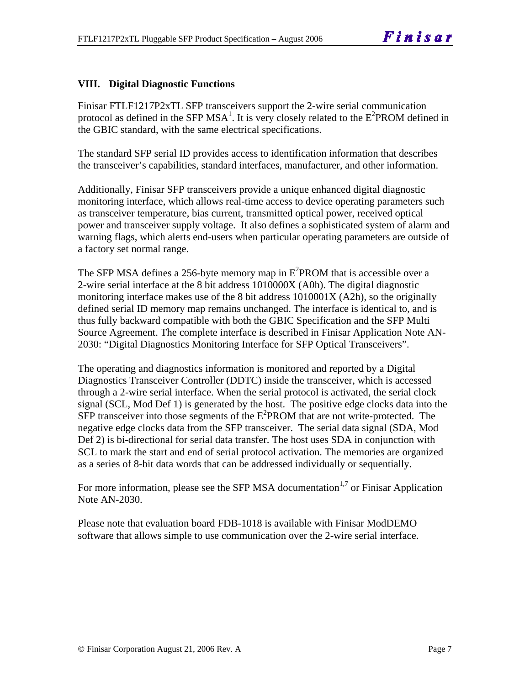#### **VIII. Digital Diagnostic Functions**

Finisar FTLF1217P2xTL SFP transceivers support the 2-wire serial communication protocol as defined in the SFP MSA<sup>1</sup>. It is very closely related to the  $E^2$ PROM defined in the GBIC standard, with the same electrical specifications.

The standard SFP serial ID provides access to identification information that describes the transceiver's capabilities, standard interfaces, manufacturer, and other information.

Additionally, Finisar SFP transceivers provide a unique enhanced digital diagnostic monitoring interface, which allows real-time access to device operating parameters such as transceiver temperature, bias current, transmitted optical power, received optical power and transceiver supply voltage. It also defines a sophisticated system of alarm and warning flags, which alerts end-users when particular operating parameters are outside of a factory set normal range.

The SFP MSA defines a 256-byte memory map in  $E^2$ PROM that is accessible over a 2-wire serial interface at the 8 bit address 1010000X (A0h). The digital diagnostic monitoring interface makes use of the 8 bit address 1010001X (A2h), so the originally defined serial ID memory map remains unchanged. The interface is identical to, and is thus fully backward compatible with both the GBIC Specification and the SFP Multi Source Agreement. The complete interface is described in Finisar Application Note AN-2030: "Digital Diagnostics Monitoring Interface for SFP Optical Transceivers".

The operating and diagnostics information is monitored and reported by a Digital Diagnostics Transceiver Controller (DDTC) inside the transceiver, which is accessed through a 2-wire serial interface. When the serial protocol is activated, the serial clock signal (SCL, Mod Def 1) is generated by the host. The positive edge clocks data into the  $SFP$  transceiver into those segments of the  $E^2$ PROM that are not write-protected. The negative edge clocks data from the SFP transceiver. The serial data signal (SDA, Mod Def 2) is bi-directional for serial data transfer. The host uses SDA in conjunction with SCL to mark the start and end of serial protocol activation. The memories are organized as a series of 8-bit data words that can be addressed individually or sequentially.

For more information, please see the SFP MSA documentation<sup>1,7</sup> or Finisar Application Note AN-2030.

Please note that evaluation board FDB-1018 is available with Finisar ModDEMO software that allows simple to use communication over the 2-wire serial interface.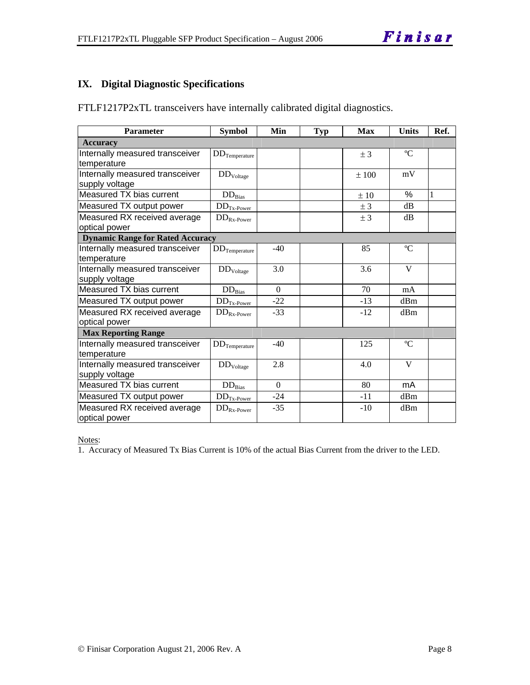#### **IX. Digital Diagnostic Specifications**

| <b>Parameter</b>                                  | <b>Symbol</b>           | Min      | <b>Typ</b> | <b>Max</b> | <b>Units</b> | Ref. |
|---------------------------------------------------|-------------------------|----------|------------|------------|--------------|------|
| <b>Accuracy</b>                                   |                         |          |            |            |              |      |
| Internally measured transceiver<br>temperature    | $DD$ Temperature        |          |            | $±$ 3      | $\rm ^{o}C$  |      |
| Internally measured transceiver<br>supply voltage | DD <sub>Voltage</sub>   |          |            | ±100       | mV           |      |
| Measured TX bias current                          | $DD_{Bias}$             |          |            | ±10        | $\%$         | 1    |
| Measured TX output power                          | $DD_{Tx\text{-Power}}$  |          |            | ± 3        | dB           |      |
| Measured RX received average<br>optical power     | $DD_{Rx\text{-}Power}$  |          |            | ± 3        | dВ           |      |
| <b>Dynamic Range for Rated Accuracy</b>           |                         |          |            |            |              |      |
| Internally measured transceiver<br>temperature    | $\rm{DD}_{Temperature}$ | $-40$    |            | 85         | $\rm ^{o}C$  |      |
| Internally measured transceiver<br>supply voltage | $DD_{Voltage}$          | 3.0      |            | 3.6        | V            |      |
| Measured TX bias current                          | $DD_{Bias}$             | $\Omega$ |            | 70         | mA           |      |
| Measured TX output power                          | $DD_{Tx\text{-Power}}$  | $-22$    |            | $-13$      | dBm          |      |
| Measured RX received average<br>optical power     | $DD_{Rx\text{-}Power}$  | $-33$    |            | $-12$      | dBm          |      |
| <b>Max Reporting Range</b>                        |                         |          |            |            |              |      |
| Internally measured transceiver<br>temperature    | $DD$ Temperature        | $-40$    |            | 125        | $\rm ^{o}C$  |      |
| Internally measured transceiver                   | $DD_{Voltage}$          | 2.8      |            | 4.0        | V            |      |
| supply voltage                                    |                         |          |            |            |              |      |
| Measured TX bias current                          | $DD_{\rm Bias}$         | $\Omega$ |            | 80         | mA           |      |
| Measured TX output power                          | $DD_{Tx\text{-Power}}$  | $-24$    |            | -11        | dBm          |      |
| Measured RX received average<br>optical power     | $DD_{Rx\text{-}Power}$  | $-35$    |            | $-10$      | dBm          |      |

FTLF1217P2xTL transceivers have internally calibrated digital diagnostics.

Notes:

1. Accuracy of Measured Tx Bias Current is 10% of the actual Bias Current from the driver to the LED.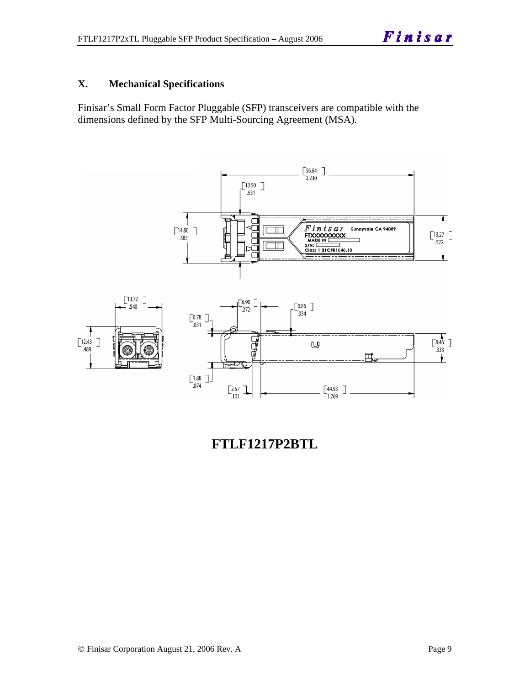#### **X. Mechanical Specifications**

Finisar's Small Form Factor Pluggable (SFP) transceivers are compatible with the dimensions defined by the SFP Multi-Sourcing Agreement (MSA).



**FTLF1217P2BTL**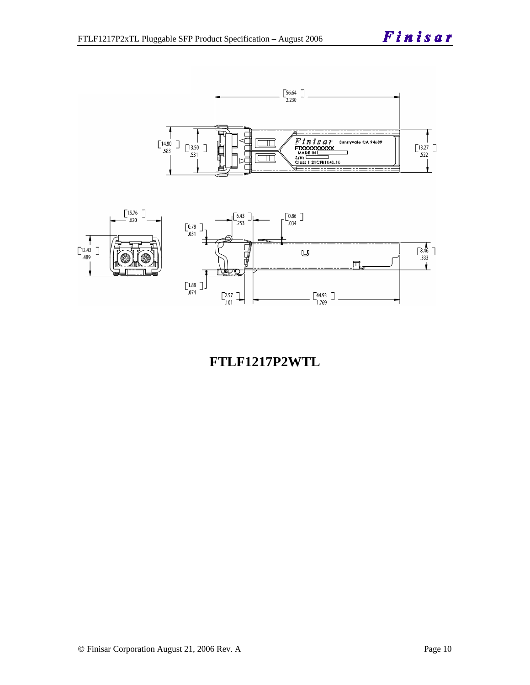Finisar





## **FTLF1217P2WTL**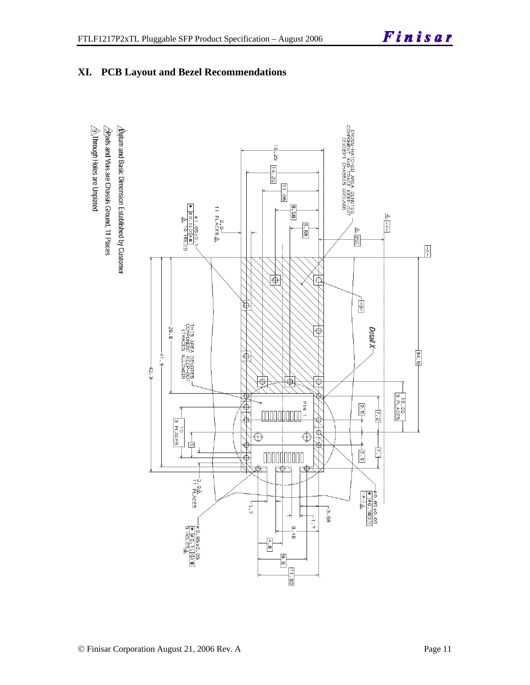



#### **XI. PCB Layout and Bezel Recommendations**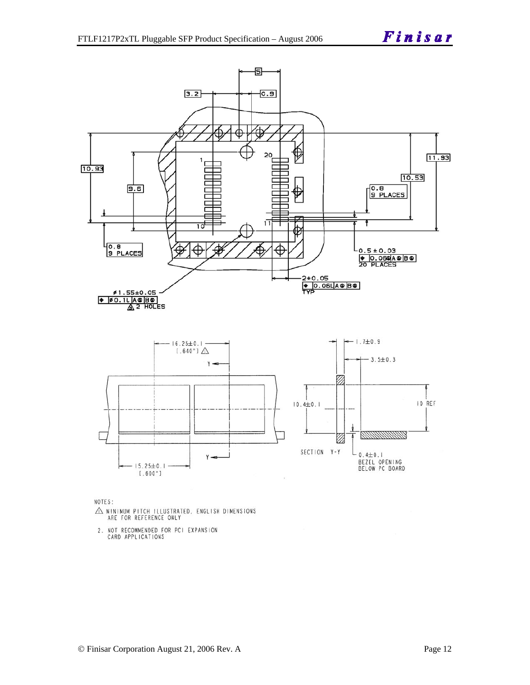

NOTES:

- $\triangle$  MINIMUM PITCH ILLUSTRATED, ENGLISH DIMENSIONS ARE FOR REFERENCE ONLY
- 2. NOT RECOMMENDED FOR PCI EXPANSION<br>CARD APPLICATIONS